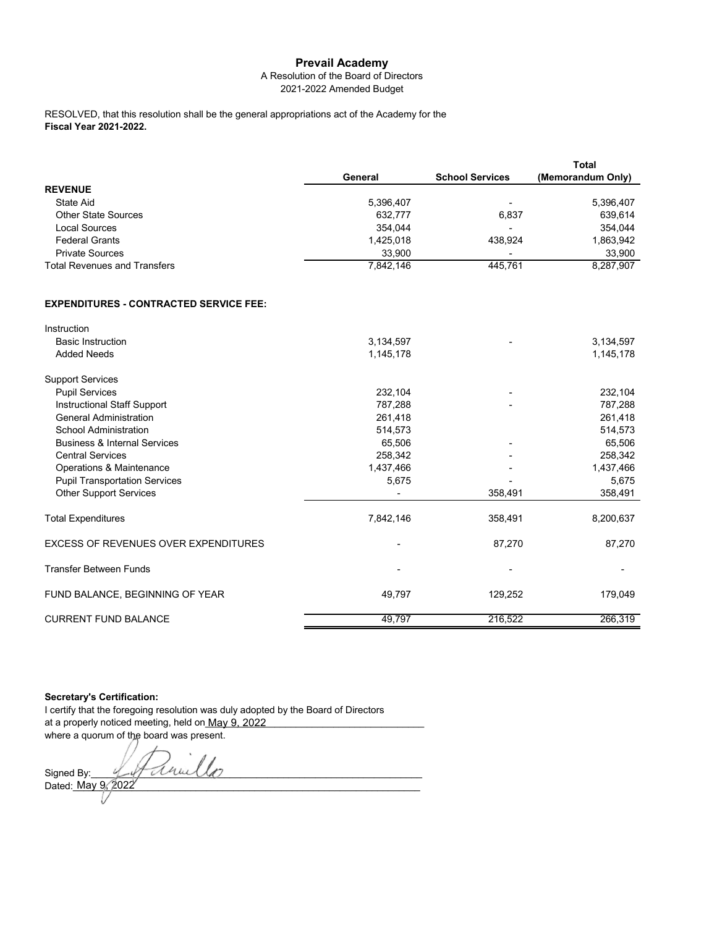## **Prevail Academy**

## A Resolution of the Board of Directors 2021-2022 Amended Budget

#### **Fiscal Year 2021-2022.** RESOLVED, that this resolution shall be the general appropriations act of the Academy for the

|                                     |           |                        | <b>Total</b>      |
|-------------------------------------|-----------|------------------------|-------------------|
|                                     | General   | <b>School Services</b> | (Memorandum Only) |
| <b>REVENUE</b>                      |           |                        |                   |
| State Aid                           | 5,396,407 | -                      | 5,396,407         |
| <b>Other State Sources</b>          | 632,777   | 6.837                  | 639,614           |
| Local Sources                       | 354.044   | -                      | 354.044           |
| <b>Federal Grants</b>               | 1,425,018 | 438.924                | 1,863,942         |
| <b>Private Sources</b>              | 33.900    |                        | 33.900            |
| <b>Total Revenues and Transfers</b> | 7,842,146 | 445.761                | 8,287,907         |

## **EXPENDITURES - CONTRACTED SERVICE FEE:**

| Instruction                                 |           |         |           |
|---------------------------------------------|-----------|---------|-----------|
| <b>Basic Instruction</b>                    | 3,134,597 |         | 3,134,597 |
| <b>Added Needs</b>                          | 1,145,178 |         | 1,145,178 |
| <b>Support Services</b>                     |           |         |           |
| <b>Pupil Services</b>                       | 232,104   |         | 232,104   |
| Instructional Staff Support                 | 787,288   |         | 787,288   |
| <b>General Administration</b>               | 261,418   |         | 261,418   |
| School Administration                       | 514,573   |         | 514,573   |
| <b>Business &amp; Internal Services</b>     | 65,506    |         | 65,506    |
| <b>Central Services</b>                     | 258,342   |         | 258,342   |
| Operations & Maintenance                    | 1,437,466 |         | 1,437,466 |
| <b>Pupil Transportation Services</b>        | 5,675     |         | 5,675     |
| <b>Other Support Services</b>               |           | 358,491 | 358,491   |
| <b>Total Expenditures</b>                   | 7,842,146 | 358,491 | 8,200,637 |
| <b>EXCESS OF REVENUES OVER EXPENDITURES</b> |           | 87,270  | 87,270    |
| <b>Transfer Between Funds</b>               |           |         |           |
| FUND BALANCE, BEGINNING OF YEAR             | 49,797    | 129,252 | 179,049   |
| <b>CURRENT FUND BALANCE</b>                 | 49,797    | 216,522 | 266,319   |

**Secretary's Certification:**

I certify that the foregoing resolution was duly adopted by the Board of Directors at a properly noticed meeting, held on<u>\_May 9, 2022\_\_\_\_\_\_\_\_\_\_\_\_\_\_\_\_\_\_\_\_\_\_\_\_\_\_\_\_\_\_</u> where a quorum of the board was present.

Signed By: 4 Junillo Dated:\_\_\_\_\_\_\_\_\_\_\_\_\_\_\_\_\_\_\_\_\_\_\_\_\_\_\_\_\_\_\_\_\_\_\_\_\_\_\_\_\_\_\_\_\_\_\_\_\_\_\_\_\_\_\_\_\_\_\_\_\_\_\_\_\_ May 9, 2022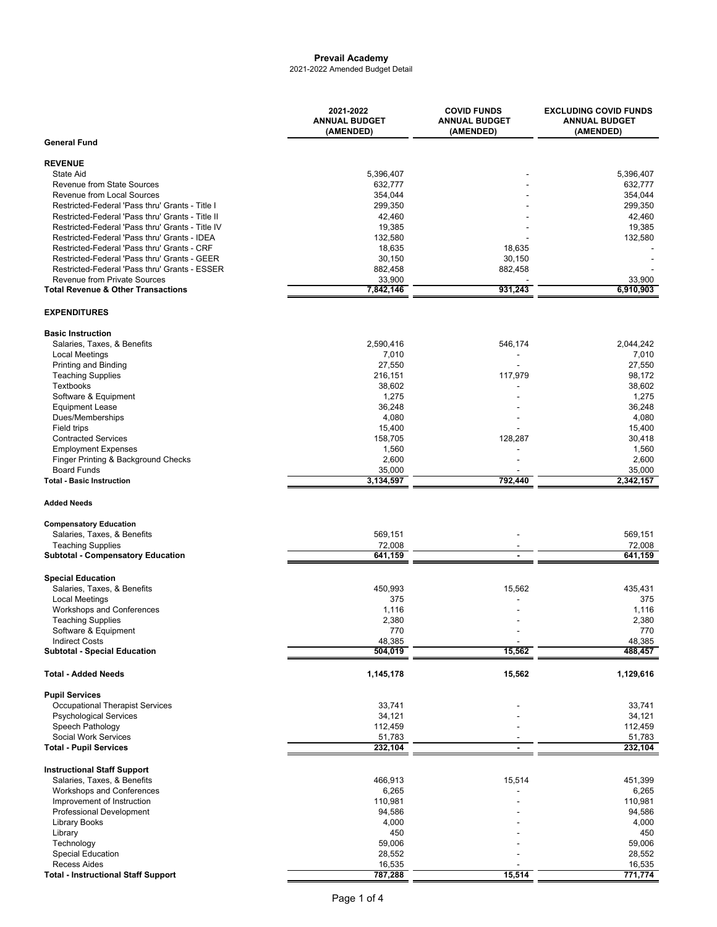# **Prevail Academy**

2021-2022 Amended Budget Detail

|                                                                                                  | 2021-2022<br><b>ANNUAL BUDGET</b><br>(AMENDED) | <b>COVID FUNDS</b><br><b>ANNUAL BUDGET</b><br>(AMENDED) | <b>EXCLUDING COVID FUNDS</b><br><b>ANNUAL BUDGET</b><br>(AMENDED) |
|--------------------------------------------------------------------------------------------------|------------------------------------------------|---------------------------------------------------------|-------------------------------------------------------------------|
| <b>General Fund</b>                                                                              |                                                |                                                         |                                                                   |
| <b>REVENUE</b>                                                                                   |                                                |                                                         |                                                                   |
| State Aid<br><b>Revenue from State Sources</b>                                                   | 5,396,407<br>632,777                           |                                                         | 5,396,407                                                         |
| Revenue from Local Sources                                                                       | 354,044                                        |                                                         | 632,777<br>354,044                                                |
| Restricted-Federal 'Pass thru' Grants - Title I                                                  | 299,350                                        |                                                         | 299,350                                                           |
| Restricted-Federal 'Pass thru' Grants - Title II                                                 | 42,460                                         |                                                         | 42,460                                                            |
| Restricted-Federal 'Pass thru' Grants - Title IV<br>Restricted-Federal 'Pass thru' Grants - IDEA | 19,385<br>132,580                              |                                                         | 19,385<br>132,580                                                 |
| Restricted-Federal 'Pass thru' Grants - CRF                                                      | 18,635                                         | 18,635                                                  |                                                                   |
| Restricted-Federal 'Pass thru' Grants - GEER                                                     | 30,150                                         | 30,150                                                  |                                                                   |
| Restricted-Federal 'Pass thru' Grants - ESSER                                                    | 882,458                                        | 882,458                                                 |                                                                   |
| Revenue from Private Sources<br><b>Total Revenue &amp; Other Transactions</b>                    | 33,900<br>7,842,146                            | 931,243                                                 | 33,900<br>6,910,903                                               |
| <b>EXPENDITURES</b>                                                                              |                                                |                                                         |                                                                   |
| <b>Basic Instruction</b>                                                                         |                                                |                                                         |                                                                   |
| Salaries, Taxes, & Benefits                                                                      | 2,590,416                                      | 546,174                                                 | 2,044,242                                                         |
| <b>Local Meetings</b>                                                                            | 7,010                                          |                                                         | 7,010                                                             |
| Printing and Binding                                                                             | 27,550                                         |                                                         | 27,550                                                            |
| <b>Teaching Supplies</b><br><b>Textbooks</b>                                                     | 216,151<br>38,602                              | 117,979                                                 | 98,172<br>38,602                                                  |
| Software & Equipment                                                                             | 1,275                                          |                                                         | 1,275                                                             |
| <b>Equipment Lease</b>                                                                           | 36,248                                         |                                                         | 36,248                                                            |
| Dues/Memberships                                                                                 | 4,080                                          |                                                         | 4,080                                                             |
| Field trips<br><b>Contracted Services</b>                                                        | 15,400<br>158,705                              | 128,287                                                 | 15,400<br>30,418                                                  |
| <b>Employment Expenses</b>                                                                       | 1,560                                          |                                                         | 1,560                                                             |
| Finger Printing & Background Checks                                                              | 2,600                                          |                                                         | 2,600                                                             |
| <b>Board Funds</b>                                                                               | 35,000                                         |                                                         | 35,000                                                            |
| <b>Total - Basic Instruction</b>                                                                 | 3,134,597                                      | 792,440                                                 | 2,342,157                                                         |
| <b>Added Needs</b>                                                                               |                                                |                                                         |                                                                   |
| <b>Compensatory Education</b>                                                                    |                                                |                                                         |                                                                   |
| Salaries, Taxes, & Benefits<br><b>Teaching Supplies</b>                                          | 569,151<br>72,008                              |                                                         | 569,151<br>72,008                                                 |
| <b>Subtotal - Compensatory Education</b>                                                         | 641,159                                        | $\blacksquare$                                          | 641,159                                                           |
|                                                                                                  |                                                |                                                         |                                                                   |
| <b>Special Education</b>                                                                         |                                                |                                                         |                                                                   |
| Salaries, Taxes, & Benefits<br><b>Local Meetings</b>                                             | 450,993<br>375                                 | 15,562                                                  | 435,431<br>375                                                    |
| Workshops and Conferences                                                                        | 1,116                                          |                                                         | 1,116                                                             |
| <b>Teaching Supplies</b>                                                                         | 2,380                                          |                                                         | 2,380                                                             |
| Software & Equipment                                                                             | 770                                            |                                                         | 770                                                               |
| <b>Indirect Costs</b><br><b>Subtotal - Special Education</b>                                     | 48,385<br>504,019                              | 15,562                                                  | 48,385<br>488,457                                                 |
| <b>Total - Added Needs</b>                                                                       | 1,145,178                                      | 15,562                                                  | 1,129,616                                                         |
| <b>Pupil Services</b>                                                                            |                                                |                                                         |                                                                   |
| Occupational Therapist Services                                                                  | 33,741                                         |                                                         | 33,741                                                            |
| <b>Psychological Services</b>                                                                    | 34,121                                         |                                                         | 34,121                                                            |
| Speech Pathology                                                                                 | 112,459                                        |                                                         | 112,459                                                           |
| Social Work Services<br><b>Total - Pupil Services</b>                                            | 51,783<br>232,104                              |                                                         | 51,783<br>232,104                                                 |
|                                                                                                  |                                                |                                                         |                                                                   |
| <b>Instructional Staff Support</b>                                                               |                                                |                                                         |                                                                   |
| Salaries, Taxes, & Benefits                                                                      | 466,913                                        | 15,514                                                  | 451,399                                                           |
| Workshops and Conferences<br>Improvement of Instruction                                          | 6,265<br>110,981                               |                                                         | 6,265<br>110,981                                                  |
| Professional Development                                                                         | 94,586                                         |                                                         | 94,586                                                            |
| Library Books                                                                                    | 4,000                                          |                                                         | 4,000                                                             |
| Library                                                                                          | 450                                            |                                                         | 450                                                               |
| Technology<br>Special Education                                                                  | 59,006<br>28,552                               |                                                         | 59,006<br>28,552                                                  |
| <b>Recess Aides</b>                                                                              | 16,535                                         |                                                         | 16,535                                                            |
| <b>Total - Instructional Staff Support</b>                                                       | 787,288                                        | 15,514                                                  | 771,774                                                           |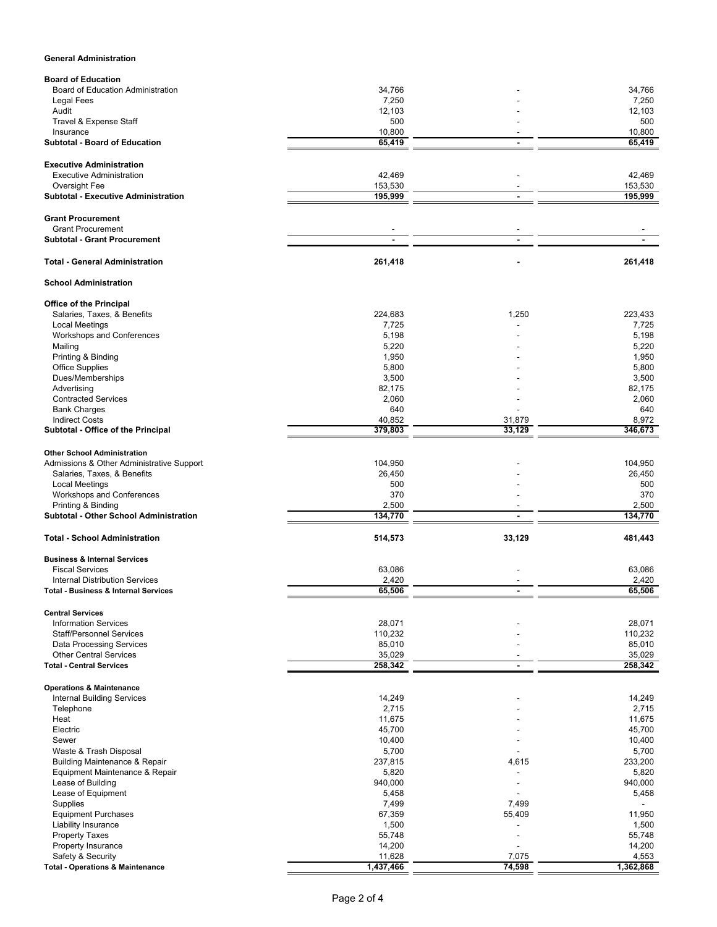## **General Administration**

| <b>Board of Education</b>                                   |                    |                          |                    |
|-------------------------------------------------------------|--------------------|--------------------------|--------------------|
| <b>Board of Education Administration</b>                    | 34,766             |                          | 34,766             |
| Legal Fees                                                  | 7,250              |                          | 7,250              |
| Audit                                                       | 12,103             |                          | 12,103             |
| Travel & Expense Staff                                      | 500                |                          | 500                |
| Insurance                                                   | 10,800             |                          | 10,800             |
| Subtotal - Board of Education                               | 65,419             | ä,                       | 65,419             |
| <b>Executive Administration</b>                             |                    |                          |                    |
|                                                             |                    |                          |                    |
| <b>Executive Administration</b>                             | 42,469             |                          | 42,469             |
| Oversight Fee<br><b>Subtotal - Executive Administration</b> | 153,530<br>195,999 |                          | 153,530<br>195,999 |
|                                                             |                    | $\blacksquare$           |                    |
| <b>Grant Procurement</b>                                    |                    |                          |                    |
| <b>Grant Procurement</b>                                    |                    |                          |                    |
| <b>Subtotal - Grant Procurement</b>                         | $\sim$             | $\blacksquare$           |                    |
|                                                             |                    |                          |                    |
| <b>Total - General Administration</b>                       | 261,418            |                          | 261,418            |
| <b>School Administration</b>                                |                    |                          |                    |
| <b>Office of the Principal</b>                              |                    |                          |                    |
| Salaries, Taxes, & Benefits                                 | 224,683            | 1,250                    | 223,433            |
| <b>Local Meetings</b>                                       | 7,725              |                          | 7,725              |
| Workshops and Conferences                                   | 5,198              |                          | 5,198              |
| Mailing                                                     | 5,220              |                          | 5,220              |
| Printing & Binding                                          | 1,950              |                          | 1,950              |
| <b>Office Supplies</b>                                      | 5,800              |                          | 5,800              |
| Dues/Memberships                                            | 3,500              |                          | 3,500              |
| Advertising                                                 | 82,175             |                          |                    |
| <b>Contracted Services</b>                                  |                    |                          | 82,175<br>2,060    |
|                                                             | 2,060              |                          |                    |
| <b>Bank Charges</b>                                         | 640                |                          | 640                |
| <b>Indirect Costs</b>                                       | 40,852             | 31,879                   | 8,972              |
| Subtotal - Office of the Principal                          | 379,803            | 33,129                   | 346,673            |
| <b>Other School Administration</b>                          |                    |                          |                    |
| Admissions & Other Administrative Support                   | 104,950            |                          | 104,950            |
| Salaries, Taxes, & Benefits                                 | 26,450             |                          | 26,450             |
| <b>Local Meetings</b>                                       | 500                |                          | 500                |
| Workshops and Conferences                                   | 370                |                          | 370                |
| Printing & Binding                                          | 2,500              | ٠                        | 2,500              |
| Subtotal - Other School Administration                      | 134,770            | $\blacksquare$           | 134,770            |
|                                                             |                    |                          |                    |
| <b>Total - School Administration</b>                        | 514,573            | 33,129                   | 481,443            |
| <b>Business &amp; Internal Services</b>                     |                    |                          |                    |
| <b>Fiscal Services</b>                                      | 63,086             |                          | 63,086             |
| <b>Internal Distribution Services</b>                       | 2,420              |                          | 2,420              |
| <b>Total - Business &amp; Internal Services</b>             | 65,506             | $\blacksquare$           | 65,506             |
|                                                             |                    |                          |                    |
| <b>Central Services</b>                                     |                    |                          |                    |
| <b>Information Services</b>                                 | 28,071             |                          | 28,071             |
| <b>Staff/Personnel Services</b>                             | 110,232            |                          | 110,232            |
| <b>Data Processing Services</b>                             | 85,010             |                          | 85,010             |
| <b>Other Central Services</b>                               | 35,029             |                          | 35,029             |
| <b>Total - Central Services</b>                             | 258,342            | ä,                       | 258,342            |
| <b>Operations &amp; Maintenance</b>                         |                    |                          |                    |
|                                                             | 14,249             |                          | 14,249             |
| Internal Building Services                                  | 2,715              |                          | 2,715              |
| Telephone                                                   |                    |                          |                    |
| Heat<br>Electric                                            | 11,675             |                          | 11,675             |
|                                                             | 45,700             |                          | 45,700             |
| Sewer                                                       | 10,400             |                          | 10,400             |
| Waste & Trash Disposal                                      | 5,700              |                          | 5,700              |
| <b>Building Maintenance &amp; Repair</b>                    | 237,815            | 4,615                    | 233,200            |
| Equipment Maintenance & Repair                              | 5,820              |                          | 5,820              |
| Lease of Building                                           | 940,000            |                          | 940,000            |
| Lease of Equipment                                          | 5,458              |                          | 5,458              |
| Supplies                                                    | 7,499              | 7,499                    |                    |
| <b>Equipment Purchases</b>                                  | 67,359             | 55,409                   | 11,950             |
| Liability Insurance                                         | 1,500              | $\overline{\phantom{a}}$ | 1,500              |
| <b>Property Taxes</b>                                       | 55,748             | $\overline{a}$           | 55,748             |
| Property Insurance                                          | 14,200             |                          | 14,200             |
| Safety & Security                                           | 11,628             | 7,075                    | 4,553              |
| <b>Total - Operations &amp; Maintenance</b>                 | 1,437,466          | 74,598                   | 1,362,868          |